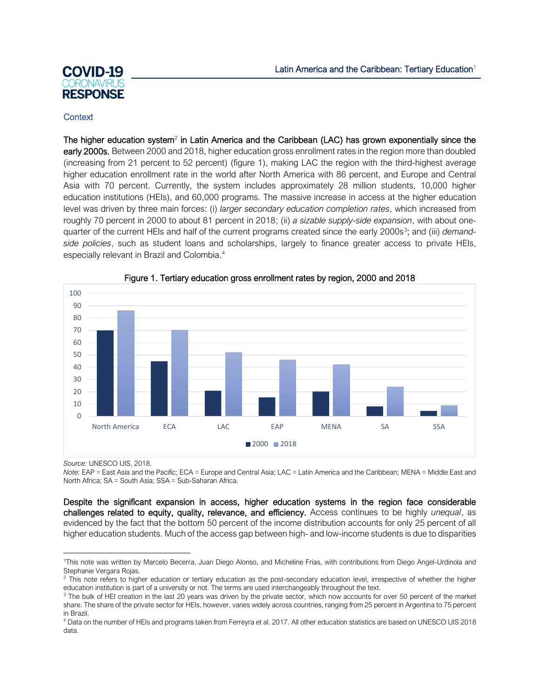# **COVID-19 RESPONSE**

# **Context**

The higher education system<sup>2</sup> in Latin America and the Caribbean (LAC) has grown exponentially since the early 2000s. Between 2000 and 2018, higher education gross enrollment rates in the region more than doubled (increasing from 21 percent to 52 percent) (figure 1), making LAC the region with the third-highest average higher education enrollment rate in the world after North America with 86 percent, and Europe and Central Asia with 70 percent. Currently, the system includes approximately 28 million students, 10,000 higher education institutions (HEIs), and 60,000 programs. The massive increase in access at the higher education level was driven by three main forces: (i) *larger secondary education completion rates*, which increased from roughly 70 percent in 2000 to about 81 percent in 2018; (ii) *a sizable supply-side expansion*, with about onequarter of the current HEIs and half of the current programs created since the early 2000s<sup>3</sup>; and (iii) *demandside policies*, such as student loans and scholarships, largely to finance greater access to private HEIs, especially relevant in Brazil and Colombia. 4





*Source:* UNESCO UIS, 2018.

*Note:* EAP = East Asia and the Pacific; ECA = Europe and Central Asia; LAC = Latin America and the Caribbean; MENA = Middle East and North Africa; SA = South Asia; SSA = Sub-Saharan Africa.

Despite the significant expansion in access, higher education systems in the region face considerable challenges related to equity, quality, relevance, and efficiency. Access continues to be highly *unequal*, as evidenced by the fact that the bottom 50 percent of the income distribution accounts for only 25 percent of all higher education students. Much of the access gap between high- and low-income students is due to disparities

<sup>1</sup>This note was written by Marcelo Becerra, Juan Diego Alonso, and Micheline Frias, with contributions from Diego Angel-Urdinola and Stephanie Vergara Rojas.

<sup>&</sup>lt;sup>2</sup> This note refers to higher education or tertiary education as the post-secondary education level, irrespective of whether the higher education institution is part of a university or not. The terms are used interchangeably throughout the text.

<sup>&</sup>lt;sup>3</sup> The bulk of HEI creation in the last 20 years was driven by the private sector, which now accounts for over 50 percent of the market share. The share of the private sector for HEIs, however, varies widely across countries, ranging from 25 percent in Argentina to 75 percent in Brazil.

<sup>4</sup> Data on the number of HEIs and programs taken from Ferreyra et al. 2017. All other education statistics are based on UNESCO UIS 2018 data.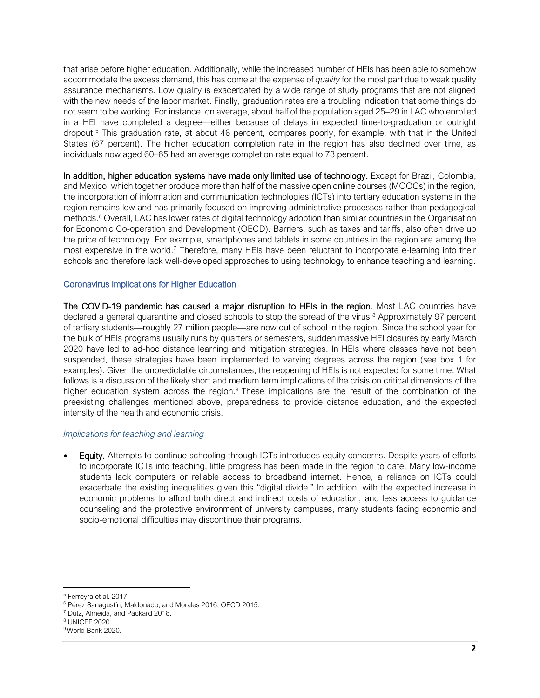that arise before higher education. Additionally, while the increased number of HEIs has been able to somehow accommodate the excess demand, this has come at the expense of *quality* for the most part due to weak quality assurance mechanisms. Low quality is exacerbated by a wide range of study programs that are not aligned with the new needs of the labor market. Finally, graduation rates are a troubling indication that some things do not seem to be working. For instance, on average, about half of the population aged 25–29 in LAC who enrolled in a HEI have completed a degree—either because of delays in expected time-to-graduation or outright dropout.<sup>5</sup> This graduation rate, at about 46 percent, compares poorly, for example, with that in the United States (67 percent). The higher education completion rate in the region has also declined over time, as individuals now aged 60–65 had an average completion rate equal to 73 percent.

In addition, higher education systems have made only limited use of technology. Except for Brazil, Colombia, and Mexico, which together produce more than half of the massive open online courses (MOOCs) in the region, the incorporation of information and communication technologies (ICTs) into tertiary education systems in the region remains low and has primarily focused on improving administrative processes rather than pedagogical methods.<sup>6</sup> Overall, LAC has lower rates of digital technology adoption than similar countries in the Organisation for Economic Co-operation and Development (OECD). Barriers, such as taxes and tariffs, also often drive up the price of technology. For example, smartphones and tablets in some countries in the region are among the most expensive in the world.<sup>7</sup> Therefore, many HEIs have been reluctant to incorporate e-learning into their schools and therefore lack well-developed approaches to using technology to enhance teaching and learning.

# Coronavirus Implications for Higher Education

The COVID-19 pandemic has caused a major disruption to HEIs in the region. Most LAC countries have declared a general quarantine and closed schools to stop the spread of the virus.<sup>8</sup> Approximately 97 percent of tertiary students—roughly 27 million people—are now out of school in the region. Since the school year for the bulk of HEIs programs usually runs by quarters or semesters, sudden massive HEI closures by early March 2020 have led to ad-hoc distance learning and mitigation strategies. In HEIs where classes have not been suspended, these strategies have been implemented to varying degrees across the region (see box 1 for examples). Given the unpredictable circumstances, the reopening of HEIs is not expected for some time. What follows is a discussion of the likely short and medium term implications of the crisis on critical dimensions of the higher education system across the region.<sup>9</sup> These implications are the result of the combination of the preexisting challenges mentioned above, preparedness to provide distance education, and the expected intensity of the health and economic crisis.

#### *Implications for teaching and learning*

**Equity.** Attempts to continue schooling through ICTs introduces equity concerns. Despite years of efforts to incorporate ICTs into teaching, little progress has been made in the region to date. Many low-income students lack computers or reliable access to broadband internet. Hence, a reliance on ICTs could exacerbate the existing inequalities given this "digital divide." In addition, with the expected increase in economic problems to afford both direct and indirect costs of education, and less access to guidance counseling and the protective environment of university campuses, many students facing economic and socio-emotional difficulties may discontinue their programs.

<sup>5</sup> Ferreyra et al. 2017.

<sup>6</sup> Pérez Sanagustín, Maldonado, and Morales 2016; OECD 2015.

<sup>7</sup> Dutz, Almeida, and Packard 2018.

<sup>8</sup> UNICEF 2020.

<sup>9</sup> World Bank 2020.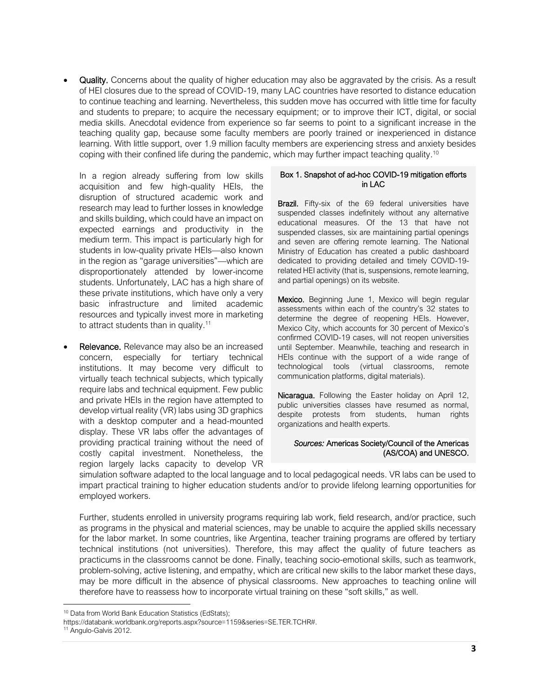• Quality. Concerns about the quality of higher education may also be aggravated by the crisis. As a result of HEI closures due to the spread of COVID-19, many LAC countries have resorted to distance education to continue teaching and learning. Nevertheless, this sudden move has occurred with little time for faculty and students to prepare; to acquire the necessary equipment; or to improve their ICT, digital, or social media skills. Anecdotal evidence from experience so far seems to point to a significant increase in the teaching quality gap, because some faculty members are poorly trained or inexperienced in distance learning. With little support, over 1.9 million faculty members are experiencing stress and anxiety besides coping with their confined life during the pandemic, which may further impact teaching quality. 10

In a region already suffering from low skills acquisition and few high-quality HEIs, the disruption of structured academic work and research may lead to further losses in knowledge and skills building, which could have an impact on expected earnings and productivity in the medium term. This impact is particularly high for students in low-quality private HEIs—also known in the region as "garage universities"—which are disproportionately attended by lower-income students. Unfortunately, LAC has a high share of these private institutions, which have only a very basic infrastructure and limited academic resources and typically invest more in marketing to attract students than in quality.<sup>11</sup>

**Relevance.** Relevance may also be an increased concern, especially for tertiary technical institutions. It may become very difficult to virtually teach technical subjects, which typically require labs and technical equipment. Few public and private HEIs in the region have attempted to develop virtual reality (VR) labs using 3D graphics with a desktop computer and a head-mounted display. These VR labs offer the advantages of providing practical training without the need of costly capital investment. Nonetheless, the region largely lacks capacity to develop VR

#### Box 1. Snapshot of ad-hoc COVID-19 mitigation efforts in LAC

Brazil. Fifty-six of the 69 federal universities have suspended classes indefinitely without any alternative educational measures. Of the 13 that have not suspended classes, six are maintaining partial openings and seven are offering remote learning. The National Ministry of Education has created a public dashboard dedicated to providing detailed and timely COVID-19 related HEI activity (that is, suspensions, remote learning, and partial openings) on its website.

Mexico. Beginning June 1, Mexico will begin regular assessments within each of the country's 32 states to determine the degree of reopening HEIs. However, Mexico City, which accounts for 30 percent of Mexico's confirmed COVID-19 cases, will not reopen universities until September. Meanwhile, teaching and research in HEIs continue with the support of a wide range of technological tools (virtual classrooms, remote communication platforms, digital materials).

Nicaragua. Following the Easter holiday on April 12, public universities classes have resumed as normal, despite protests from students, human rights organizations and health experts.

#### *Sources:* Americas Society/Council of the Americas (AS/COA) and UNESCO.

simulation software adapted to the local language and to local pedagogical needs. VR labs can be used to impart practical training to higher education students and/or to provide lifelong learning opportunities for employed workers.

Further, students enrolled in university programs requiring lab work, field research, and/or practice, such as programs in the physical and material sciences, may be unable to acquire the applied skills necessary for the labor market. In some countries, like Argentina, teacher training programs are offered by tertiary technical institutions (not universities). Therefore, this may affect the quality of future teachers as practicums in the classrooms cannot be done. Finally, teaching socio-emotional skills, such as teamwork, problem-solving, active listening, and empathy, which are critical new skills to the labor market these days, may be more difficult in the absence of physical classrooms. New approaches to teaching online will therefore have to reassess how to incorporate virtual training on these "soft skills," as well.

<sup>&</sup>lt;sup>10</sup> Data from World Bank Education Statistics (EdStats);

[https://databank.worldbank.org/reports.aspx?source=1159&series=SE.TER.TCHR#.](https://databank.worldbank.org/reports.aspx?source=1159&series=SE.TER.TCHR)

<sup>&</sup>lt;sup>11</sup> Angulo-Galvis 2012.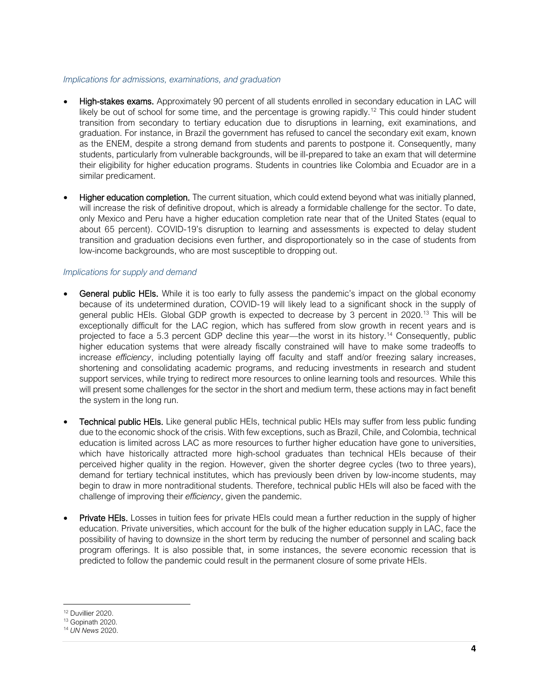#### *Implications for admissions, examinations, and graduation*

- High-stakes exams. Approximately 90 percent of all students enrolled in secondary education in LAC will likely be out of school for some time, and the percentage is growing rapidly.<sup>12</sup> This could hinder student transition from secondary to tertiary education due to disruptions in learning, exit examinations, and graduation. For instance, in Brazil the government has refused to cancel the secondary exit exam, known as the ENEM, despite a strong demand from students and parents to postpone it. Consequently, many students, particularly from vulnerable backgrounds, will be ill-prepared to take an exam that will determine their eligibility for higher education programs. Students in countries like Colombia and Ecuador are in a similar predicament.
- Higher education completion. The current situation, which could extend beyond what was initially planned, will increase the risk of definitive dropout, which is already a formidable challenge for the sector. To date, only Mexico and Peru have a higher education completion rate near that of the United States (equal to about 65 percent). COVID-19's disruption to learning and assessments is expected to delay student transition and graduation decisions even further, and disproportionately so in the case of students from low-income backgrounds, who are most susceptible to dropping out.

## *Implications for supply and demand*

- General public HEIs. While it is too early to fully assess the pandemic's impact on the global economy because of its undetermined duration, COVID-19 will likely lead to a significant shock in the supply of general public HEIs. Global GDP growth is expected to decrease by 3 percent in 2020.<sup>13</sup> This will be exceptionally difficult for the LAC region, which has suffered from slow growth in recent years and is projected to face a 5.3 percent GDP decline this year—the worst in its history.<sup>14</sup> Consequently, public higher education systems that were already fiscally constrained will have to make some tradeoffs to increase *efficiency*, including potentially laying off faculty and staff and/or freezing salary increases, shortening and consolidating academic programs, and reducing investments in research and student support services, while trying to redirect more resources to online learning tools and resources. While this will present some challenges for the sector in the short and medium term, these actions may in fact benefit the system in the long run.
- Technical public HEIs. Like general public HEIs, technical public HEIs may suffer from less public funding due to the economic shock of the crisis. With few exceptions, such as Brazil, Chile, and Colombia, technical education is limited across LAC as more resources to further higher education have gone to universities, which have historically attracted more high-school graduates than technical HEIs because of their perceived higher quality in the region. However, given the shorter degree cycles (two to three years), demand for tertiary technical institutes, which has previously been driven by low-income students, may begin to draw in more nontraditional students. Therefore, technical public HEIs will also be faced with the challenge of improving their *efficiency*, given the pandemic.
- **Private HEIs.** Losses in tuition fees for private HEIs could mean a further reduction in the supply of higher education. Private universities, which account for the bulk of the higher education supply in LAC, face the possibility of having to downsize in the short term by reducing the number of personnel and scaling back program offerings. It is also possible that, in some instances, the severe economic recession that is predicted to follow the pandemic could result in the permanent closure of some private HEIs.

<sup>12</sup> Duvillier 2020.

<sup>13</sup> Gopinath 2020.

<sup>14</sup> *UN News* 2020.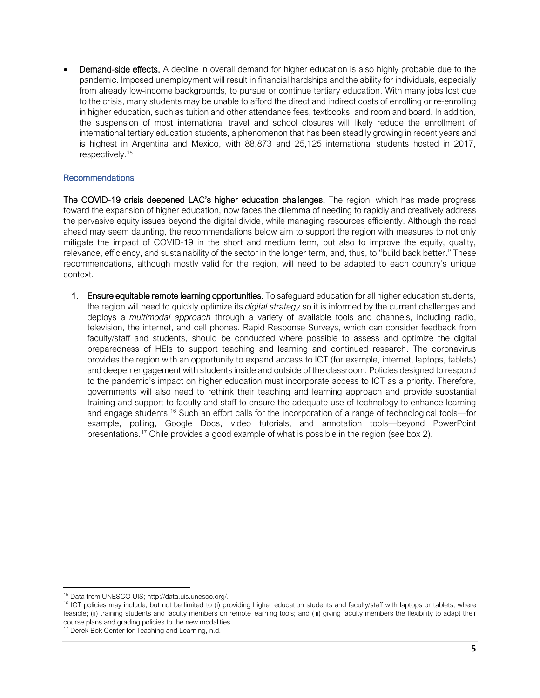**Demand-side effects.** A decline in overall demand for higher education is also highly probable due to the pandemic. Imposed unemployment will result in financial hardships and the ability for individuals, especially from already low-income backgrounds, to pursue or continue tertiary education. With many jobs lost due to the crisis, many students may be unable to afford the direct and indirect costs of enrolling or re-enrolling in higher education, such as tuition and other attendance fees, textbooks, and room and board. In addition, the suspension of most international travel and school closures will likely reduce the enrollment of international tertiary education students, a phenomenon that has been steadily growing in recent years and is highest in Argentina and Mexico, with 88,873 and 25,125 international students hosted in 2017, respectively. 15

# Recommendations

The COVID-19 crisis deepened LAC's higher education challenges. The region, which has made progress toward the expansion of higher education, now faces the dilemma of needing to rapidly and creatively address the pervasive equity issues beyond the digital divide, while managing resources efficiently. Although the road ahead may seem daunting, the recommendations below aim to support the region with measures to not only mitigate the impact of COVID-19 in the short and medium term, but also to improve the equity, quality, relevance, efficiency, and sustainability of the sector in the longer term, and, thus, to "build back better." These recommendations, although mostly valid for the region, will need to be adapted to each country's unique context.

1. Ensure equitable remote learning opportunities. To safeguard education for all higher education students, the region will need to quickly optimize its *digital strategy* so it is informed by the current challenges and deploys a *multimodal approach* through a variety of available tools and channels, including radio, television, the internet, and cell phones. Rapid Response Surveys, which can consider feedback from faculty/staff and students, should be conducted where possible to assess and optimize the digital preparedness of HEIs to support teaching and learning and continued research. The coronavirus provides the region with an opportunity to expand access to ICT (for example, internet, laptops, tablets) and deepen engagement with students inside and outside of the classroom. Policies designed to respond to the pandemic's impact on higher education must incorporate access to ICT as a priority. Therefore, governments will also need to rethink their teaching and learning approach and provide substantial training and support to faculty and staff to ensure the adequate use of technology to enhance learning and engage students.<sup>16</sup> Such an effort calls for the incorporation of a range of technological tools—for example, polling, Google Docs, video tutorials, and annotation tools—beyond PowerPoint presentations.<sup>17</sup> Chile provides a good example of what is possible in the region (see box 2).

<sup>15</sup> Data from UNESCO UIS; [http://data.uis.unesco.org/.](http://data.uis.unesco.org/)

<sup>&</sup>lt;sup>16</sup> ICT policies may include, but not be limited to (i) providing higher education students and faculty/staff with laptops or tablets, where feasible; (ii) training students and faculty members on remote learning tools; and (iii) giving faculty members the flexibility to adapt their course plans and grading policies to the new modalities.

<sup>&</sup>lt;sup>17</sup> Derek Bok Center for Teaching and Learning, n.d.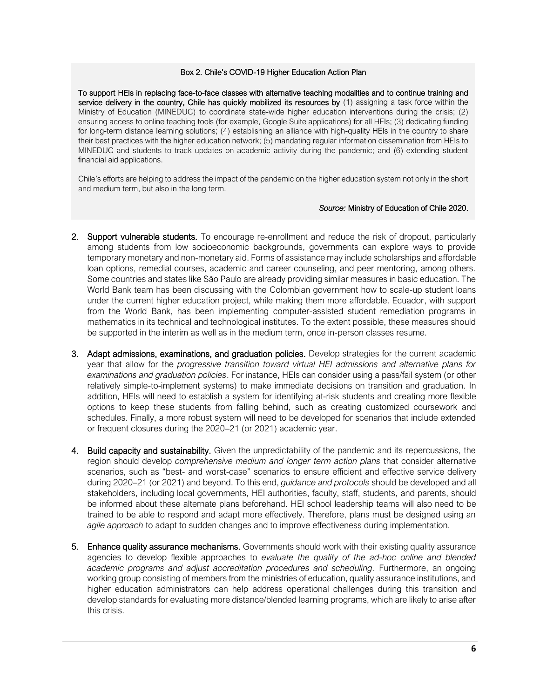#### Box 2. Chile's COVID-19 Higher Education Action Plan

To support HEIs in replacing face-to-face classes with alternative teaching modalities and to continue training and service delivery in the country, Chile has quickly mobilized its resources by (1) assigning a task force within the Ministry of Education (MINEDUC) to coordinate state-wide higher education interventions during the crisis; (2) ensuring access to online teaching tools (for example, Google Suite applications) for all HEIs; (3) dedicating funding for long-term distance learning solutions; (4) establishing an alliance with high-quality HEIs in the country to share their best practices with the higher education network; (5) mandating regular information dissemination from HEIs to MINEDUC and students to track updates on academic activity during the pandemic; and (6) extending student financial aid applications.

Chile's efforts are helping to address the impact of the pandemic on the higher education system not only in the short and medium term, but also in the long term.

#### *Source:* Ministry of Education of Chile 2020.

- 2. Support vulnerable students. To encourage re-enrollment and reduce the risk of dropout, particularly among students from low socioeconomic backgrounds, governments can explore ways to provide temporary monetary and non-monetary aid. Forms of assistance may include scholarships and affordable loan options, remedial courses, academic and career counseling, and peer mentoring, among others. Some countries and states like São Paulo are already providing similar measures in basic education. The World Bank team has been discussing with the Colombian government how to scale-up student loans under the current higher education project, while making them more affordable. Ecuador, with support from the World Bank, has been implementing computer-assisted student remediation programs in mathematics in its technical and technological institutes. To the extent possible, these measures should be supported in the interim as well as in the medium term, once in-person classes resume.
- 3. Adapt admissions, examinations, and graduation policies. Develop strategies for the current academic year that allow for the *progressive transition toward virtual HEI admissions and alternative plans for examinations and graduation policies*. For instance, HEIs can consider using a pass/fail system (or other relatively simple-to-implement systems) to make immediate decisions on transition and graduation. In addition, HEIs will need to establish a system for identifying at-risk students and creating more flexible options to keep these students from falling behind, such as creating customized coursework and schedules. Finally, a more robust system will need to be developed for scenarios that include extended or frequent closures during the 2020–21 (or 2021) academic year.
- 4. Build capacity and sustainability. Given the unpredictability of the pandemic and its repercussions, the region should develop *comprehensive medium and longer term action plans* that consider alternative scenarios, such as "best- and worst-case" scenarios to ensure efficient and effective service delivery during 2020–21 (or 2021) and beyond. To this end, *guidance and protocols* should be developed and all stakeholders, including local governments, HEI authorities, faculty, staff, students, and parents, should be informed about these alternate plans beforehand. HEI school leadership teams will also need to be trained to be able to respond and adapt more effectively. Therefore, plans must be designed using an *agile approach* to adapt to sudden changes and to improve effectiveness during implementation.
- 5. Enhance quality assurance mechanisms. Governments should work with their existing quality assurance agencies to develop flexible approaches to *evaluate the quality of the ad-hoc online and blended academic programs and adjust accreditation procedures and scheduling*. Furthermore, an ongoing working group consisting of members from the ministries of education, quality assurance institutions, and higher education administrators can help address operational challenges during this transition and develop standards for evaluating more distance/blended learning programs, which are likely to arise after this crisis.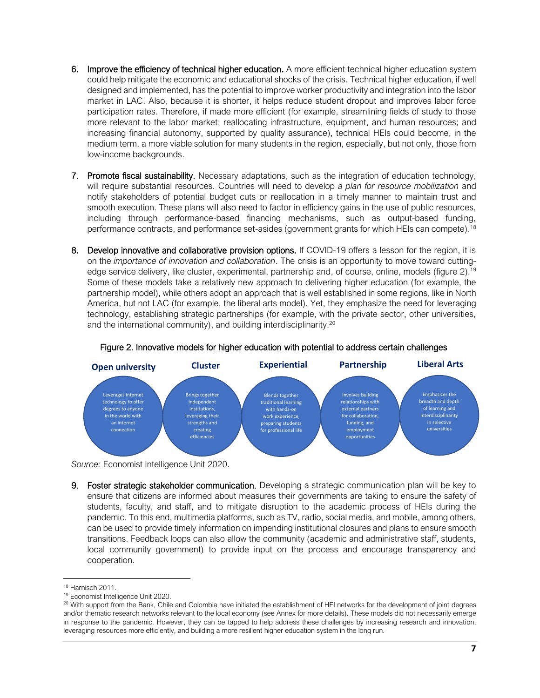- 6. Improve the efficiency of technical higher education. A more efficient technical higher education system could help mitigate the economic and educational shocks of the crisis. Technical higher education, if well designed and implemented, has the potential to improve worker productivity and integration into the labor market in LAC. Also, because it is shorter, it helps reduce student dropout and improves labor force participation rates. Therefore, if made more efficient (for example, streamlining fields of study to those more relevant to the labor market; reallocating infrastructure, equipment, and human resources; and increasing financial autonomy, supported by quality assurance), technical HEIs could become, in the medium term, a more viable solution for many students in the region, especially, but not only, those from low-income backgrounds.
- 7. Promote fiscal sustainability. Necessary adaptations, such as the integration of education technology, will require substantial resources. Countries will need to develop *a plan for resource mobilization* and notify stakeholders of potential budget cuts or reallocation in a timely manner to maintain trust and smooth execution. These plans will also need to factor in efficiency gains in the use of public resources, including through performance-based financing mechanisms, such as output-based funding, performance contracts, and performance set-asides (government grants for which HEIs can compete). 18
- 8. Develop innovative and collaborative provision options. If COVID-19 offers a lesson for the region, it is on the *importance of innovation and collaboration*. The crisis is an opportunity to move toward cuttingedge service delivery, like cluster, experimental, partnership and, of course, online, models (figure 2).<sup>19</sup> Some of these models take a relatively new approach to delivering higher education (for example, the partnership model), while others adopt an approach that is well established in some regions, like in North America, but not LAC (for example, the liberal arts model). Yet, they emphasize the need for leveraging technology, establishing strategic partnerships (for example, with the private sector, other universities, and the international community), and building interdisciplinarity.<sup>20</sup>



## Figure 2. Innovative models for higher education with potential to address certain challenges

*Source:* Economist Intelligence Unit 2020.

9. Foster strategic stakeholder communication. Developing a strategic communication plan will be key to ensure that citizens are informed about measures their governments are taking to ensure the safety of students, faculty, and staff, and to mitigate disruption to the academic process of HEIs during the pandemic. To this end, multimedia platforms, such as TV, radio, social media, and mobile, among others, can be used to provide timely information on impending institutional closures and plans to ensure smooth transitions. Feedback loops can also allow the community (academic and administrative staff, students, local community government) to provide input on the process and encourage transparency and cooperation.

<sup>18</sup> Harnisch 2011.

<sup>19</sup> Economist Intelligence Unit 2020.

<sup>&</sup>lt;sup>20</sup> With support from the Bank, Chile and Colombia have initiated the establishment of HEI networks for the development of joint degrees and/or thematic research networks relevant to the local economy (see Annex for more details). These models did not necessarily emerge in response to the pandemic. However, they can be tapped to help address these challenges by increasing research and innovation, leveraging resources more efficiently, and building a more resilient higher education system in the long run.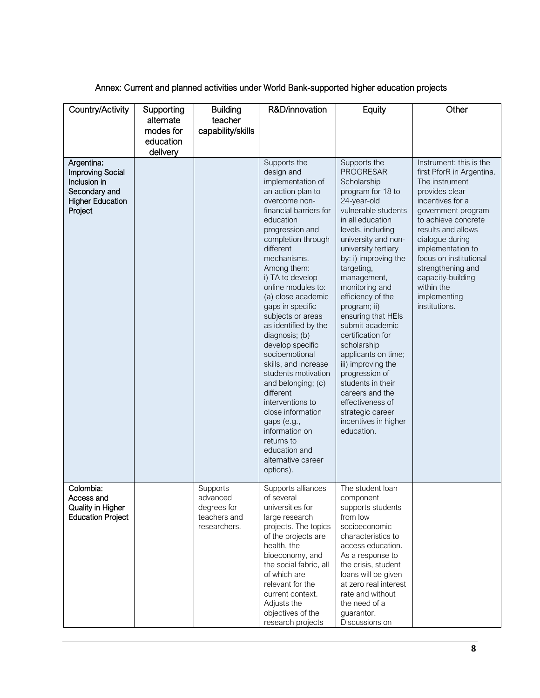# Annex: Current and planned activities under World Bank-supported higher education projects

| Country/Activity                                                                                             | Supporting<br>alternate<br>modes for | <b>Building</b><br>teacher<br>capability/skills                     | R&D/innovation                                                                                                                                                                                                                                                                                                                                                                                                                                                                                                                                                                                                                          | Equity                                                                                                                                                                                                                                                                                                                                                                                                                                                                                                                                                                          | Other                                                                                                                                                                                                                                                                                                                                      |
|--------------------------------------------------------------------------------------------------------------|--------------------------------------|---------------------------------------------------------------------|-----------------------------------------------------------------------------------------------------------------------------------------------------------------------------------------------------------------------------------------------------------------------------------------------------------------------------------------------------------------------------------------------------------------------------------------------------------------------------------------------------------------------------------------------------------------------------------------------------------------------------------------|---------------------------------------------------------------------------------------------------------------------------------------------------------------------------------------------------------------------------------------------------------------------------------------------------------------------------------------------------------------------------------------------------------------------------------------------------------------------------------------------------------------------------------------------------------------------------------|--------------------------------------------------------------------------------------------------------------------------------------------------------------------------------------------------------------------------------------------------------------------------------------------------------------------------------------------|
|                                                                                                              | education<br>delivery                |                                                                     |                                                                                                                                                                                                                                                                                                                                                                                                                                                                                                                                                                                                                                         |                                                                                                                                                                                                                                                                                                                                                                                                                                                                                                                                                                                 |                                                                                                                                                                                                                                                                                                                                            |
| Argentina:<br><b>Improving Social</b><br>Inclusion in<br>Secondary and<br><b>Higher Education</b><br>Project |                                      |                                                                     | Supports the<br>design and<br>implementation of<br>an action plan to<br>overcome non-<br>financial barriers for<br>education<br>progression and<br>completion through<br>different<br>mechanisms.<br>Among them:<br>i) TA to develop<br>online modules to:<br>(a) close academic<br>gaps in specific<br>subjects or areas<br>as identified by the<br>diagnosis; (b)<br>develop specific<br>socioemotional<br>skills, and increase<br>students motivation<br>and belonging; (c)<br>different<br>interventions to<br>close information<br>gaps (e.g.,<br>information on<br>returns to<br>education and<br>alternative career<br>options). | Supports the<br><b>PROGRESAR</b><br>Scholarship<br>program for 18 to<br>24-year-old<br>vulnerable students<br>in all education<br>levels, including<br>university and non-<br>university tertiary<br>by: i) improving the<br>targeting,<br>management,<br>monitoring and<br>efficiency of the<br>program; ii)<br>ensuring that HEIs<br>submit academic<br>certification for<br>scholarship<br>applicants on time;<br>iii) improving the<br>progression of<br>students in their<br>careers and the<br>effectiveness of<br>strategic career<br>incentives in higher<br>education. | Instrument: this is the<br>first PforR in Argentina.<br>The instrument<br>provides clear<br>incentives for a<br>government program<br>to achieve concrete<br>results and allows<br>dialogue during<br>implementation to<br>focus on institutional<br>strengthening and<br>capacity-building<br>within the<br>implementing<br>institutions. |
| Colombia:<br>Access and<br>Quality in Higher<br><b>Education Project</b>                                     |                                      | Supports<br>advanced<br>degrees for<br>teachers and<br>researchers. | Supports alliances<br>of several<br>universities for<br>large research<br>projects. The topics<br>of the projects are<br>health, the<br>bioeconomy, and<br>the social fabric, all<br>of which are<br>relevant for the<br>current context.<br>Adjusts the<br>objectives of the<br>research projects                                                                                                                                                                                                                                                                                                                                      | The student loan<br>component<br>supports students<br>from low<br>socioeconomic<br>characteristics to<br>access education.<br>As a response to<br>the crisis, student<br>loans will be given<br>at zero real interest<br>rate and without<br>the need of a<br>guarantor.<br>Discussions on                                                                                                                                                                                                                                                                                      |                                                                                                                                                                                                                                                                                                                                            |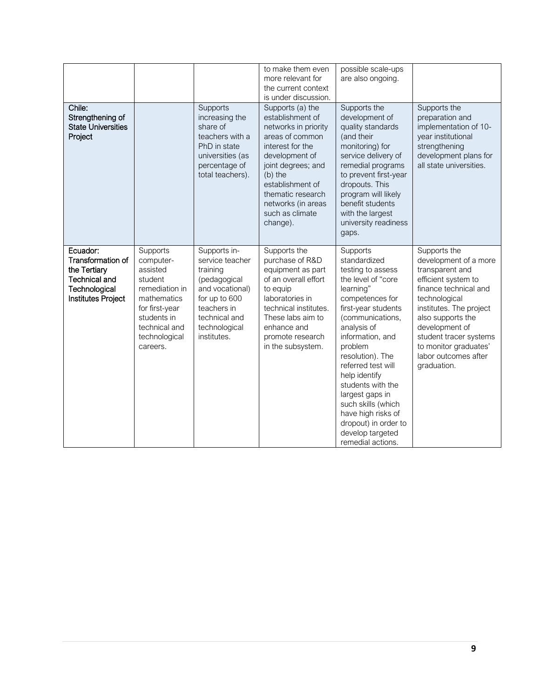|                                                                                                                     |                                                                                                                                                              |                                                                                                                                                                 | to make them even<br>more relevant for<br>the current context<br>is under discussion.                                                                                                                                                                | possible scale-ups<br>are also ongoing.                                                                                                                                                                                                                                                                                                                                                                      |                                                                                                                                                                                                                                                                                       |
|---------------------------------------------------------------------------------------------------------------------|--------------------------------------------------------------------------------------------------------------------------------------------------------------|-----------------------------------------------------------------------------------------------------------------------------------------------------------------|------------------------------------------------------------------------------------------------------------------------------------------------------------------------------------------------------------------------------------------------------|--------------------------------------------------------------------------------------------------------------------------------------------------------------------------------------------------------------------------------------------------------------------------------------------------------------------------------------------------------------------------------------------------------------|---------------------------------------------------------------------------------------------------------------------------------------------------------------------------------------------------------------------------------------------------------------------------------------|
| Chile:<br>Strengthening of<br><b>State Universities</b><br>Project                                                  |                                                                                                                                                              | Supports<br>increasing the<br>share of<br>teachers with a<br>PhD in state<br>universities (as<br>percentage of<br>total teachers).                              | Supports (a) the<br>establishment of<br>networks in priority<br>areas of common<br>interest for the<br>development of<br>joint degrees; and<br>(b) the<br>establishment of<br>thematic research<br>networks (in areas<br>such as climate<br>change). | Supports the<br>development of<br>quality standards<br>(and their<br>monitoring) for<br>service delivery of<br>remedial programs<br>to prevent first-year<br>dropouts. This<br>program will likely<br>benefit students<br>with the largest<br>university readiness<br>gaps.                                                                                                                                  | Supports the<br>preparation and<br>implementation of 10-<br>year institutional<br>strengthening<br>development plans for<br>all state universities.                                                                                                                                   |
| Ecuador:<br>Transformation of<br>the Tertiary<br><b>Technical and</b><br>Technological<br><b>Institutes Project</b> | Supports<br>computer-<br>assisted<br>student<br>remediation in<br>mathematics<br>for first-year<br>students in<br>technical and<br>technological<br>careers. | Supports in-<br>service teacher<br>training<br>(pedagogical<br>and vocational)<br>for up to 600<br>teachers in<br>technical and<br>technological<br>institutes. | Supports the<br>purchase of R&D<br>equipment as part<br>of an overall effort<br>to equip<br>laboratories in<br>technical institutes.<br>These labs aim to<br>enhance and<br>promote research<br>in the subsystem.                                    | Supports<br>standardized<br>testing to assess<br>the level of "core<br>learning"<br>competences for<br>first-year students<br>(communications,<br>analysis of<br>information, and<br>problem<br>resolution). The<br>referred test will<br>help identify<br>students with the<br>largest gaps in<br>such skills (which<br>have high risks of<br>dropout) in order to<br>develop targeted<br>remedial actions. | Supports the<br>development of a more<br>transparent and<br>efficient system to<br>finance technical and<br>technological<br>institutes. The project<br>also supports the<br>development of<br>student tracer systems<br>to monitor graduates'<br>labor outcomes after<br>graduation. |